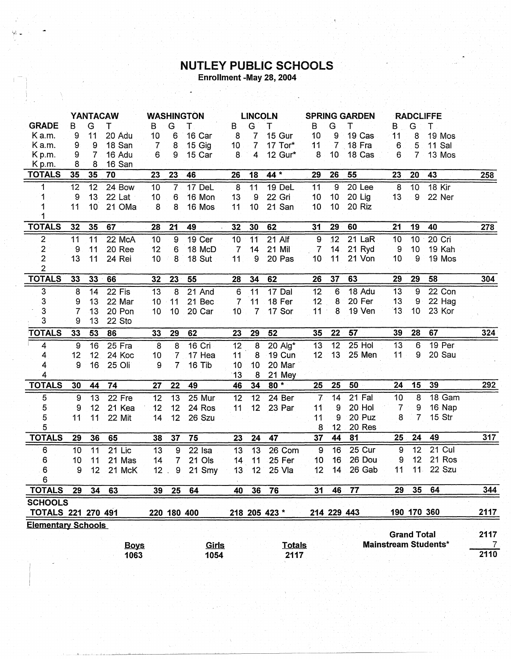## **NUTLEY PUBLIC SCHOOLS**<br>Enrollment -May 28, 2004

|                           | <b>YANTACAW</b> |    |             |                 | <b>WASHINGTON</b> |               |                 |                 | <b>LINCOLN</b><br><b>SPRING GARDEN</b> |                 |                 |                   | <b>RADCLIFFE</b> |                    |                             |                |
|---------------------------|-----------------|----|-------------|-----------------|-------------------|---------------|-----------------|-----------------|----------------------------------------|-----------------|-----------------|-------------------|------------------|--------------------|-----------------------------|----------------|
| <b>GRADE</b>              | в               | G  | т           | B               | G                 | т             | B               | G               | т                                      | В               | G               | т                 | B.               | G                  | T                           |                |
| K a.m.                    | 9               | 11 | 20 Adu      | 10              | 6                 | 16 Car        | 8               | $\overline{7}$  | 15 Gur                                 | 10              | 9               | 19 Cas            | 11               | 8                  | 19 Mos                      |                |
| K a.m.                    | 9               | 9  | 18 San      | 7               | 8                 | 15 Gig        | 10 <sub>1</sub> | $\overline{7}$  | 17 Tor*                                | 11              | $\overline{7}$  | 18 Fra            | 6                | 5                  | 11 Sal                      |                |
| Kp.m.                     | 9               | 7  | 16 Adu      | 6               | 9                 | 15 Car        | 8               | $\overline{4}$  | 12 Gur*                                | 8               | 10 <sub>1</sub> | 18 Cas            | 6                | 7                  | 13 Mos                      |                |
| Kp.m.                     | 8               | 8  | 16 San      |                 |                   |               |                 |                 |                                        |                 |                 |                   |                  |                    |                             |                |
| <b>TOTALS</b>             | 35              | 35 | 70          | 23              | 23                | 46            | 26              | 18              | 44 *                                   | 29              | 26              | 55                | 23               | 20                 | 43                          | 258            |
| 1                         | 12              | 12 | 24 Bow      | 10              | $\overline{7}$    | 17 DeL        | 8               | 11              | 19 DeL                                 | 11              | $\overline{9}$  | 20 <sub>Lee</sub> | $\overline{8}$   | 10                 | 18 Kir                      |                |
| 1                         | 9               | 13 | 22 Lat      | 10              | 6                 | 16 Mon        | 13              | g               | 22 Gri                                 | 10              | 10              | 20 Lig            | 13               | 9                  | 22 Ner                      |                |
|                           | 11              | 10 | 21 OMa      | 8               | 8                 | 16 Mos        | 11              | 10              | 21 San                                 | 10              | 10              | 20 Riz            |                  |                    |                             |                |
| <b>TOTALS</b>             | 32              | 35 | 67          | 28              | 21                | 49            | 32              | 30              | 62                                     | 31              | 29              | 60                | 21               | 19                 | 40                          | 278            |
| $\overline{\mathbf{c}}$   | 11              | 11 | 22 McA      | 10              | 9                 | 19 Cer        | 10              | 11              | $21$ Alf                               | 9               | 12              | $21$ LaR          | 10               | 10                 | 20 Cri                      |                |
| 2                         | 9               | 11 | 20 Ree      | 12              | 6                 | 18 McD        | $\overline{7}$  | 14              | 21 Mil                                 | 7               | 14 <sub>1</sub> | 21 Ryd            | 9                | 10                 | 19 Kah                      |                |
| $\overline{2}$            | 13              | 11 | 24 Rei      | 10              | 8                 | 18 Sut        | 11              | 9               | 20 Pas                                 | 10              | 11              | 21 Von            | 10               | 9                  | 19 Mos                      |                |
| $\overline{2}$            |                 |    |             |                 |                   |               |                 |                 |                                        |                 |                 |                   |                  |                    |                             |                |
| <b>TOTALS</b>             | 33              | 33 | 66          | 32              | 23                | 55            | 28              | 34              | 62                                     | 26              | 37              | 63                | 29               | 29                 | 58                          | 304            |
| 3                         | 8               | 14 | 22 Fis      | 13              | 8                 | 21 And        | $\,6\,$         | 11              | 17 Dal                                 | 12              | 6               | 18 Adu            | 13               | 9                  | $22$ Con                    |                |
| 3                         | 9               | 13 | 22 Mar      | 10 <sub>1</sub> | 11                | 21 Bec        | $\overline{7}$  | 11              | 18 Fer                                 | 12              | 8               | 20 Fer            | 13               | 9                  | 22 Hag                      |                |
| 3                         | 7               | 13 | 20 Pon      | 10              | 10                | 20 Car        | 10 <sup>°</sup> | $\overline{7}$  | 17 Sor                                 | 11              | 8               | 19 Ven            | 13               | 10 <sup>1</sup>    | 23 Kor                      |                |
| 3                         | 9               | 13 | 22 Sto      |                 |                   |               |                 |                 |                                        |                 |                 |                   |                  |                    |                             |                |
| <b>TOTALS</b>             | 33              | 53 | 86          | 33              | 29                | 62            | 23              | 29              | 52                                     | 35              | 22              | 57                | 39               | 28                 | 67                          | 324            |
| 4                         | $\overline{9}$  | 16 | $25$ Fra    | $\overline{8}$  | 8                 | <b>16 Cri</b> | 12              | $\overline{8}$  | $20$ Alg*                              | $\overline{13}$ | $\overline{12}$ | $25$ Hol          | 13               | 6                  | 19 Per                      |                |
| 4                         | 12              | 12 | 24 Koc      | 10              | 7                 | 17 Hea        | 11              | 8               | <b>19 Cun</b>                          | 12              | 13              | 25 Men            | 11               | 9                  | 20 Sau                      |                |
| 4                         | 9               | 16 | 25 Oli      | 9               | $\overline{7}$    | 16 Tib        | 10              | 10              | 20 Mar                                 |                 |                 |                   |                  |                    |                             |                |
| 4                         |                 |    |             |                 |                   |               | 13              | 8               | 21 Mey                                 |                 |                 |                   |                  |                    |                             |                |
| <b>TOTALS</b>             | 30              | 44 | 74          | 27              | 22                | 49            | 46              | 34              | $80*$                                  | 25              | 25              | 50                | 24               | 15                 | 39                          | 292            |
| $\overline{5}$            | 9               | 13 | 22 Fre      | 12              | 13                | 25 Mur        | 12              | 12              | 24 Ber                                 | $\overline{7}$  | 14              | 21 Fal            | 10               | 8                  | 18 Gam                      |                |
| 5                         | 9               | 12 | 21 Kea      | 12              | 12                | 24 Ros        | 11              | 12 <sup>2</sup> | 23 Par                                 | 11              | 9               | 20 Hol            | 7                | 9                  | 16 Nap                      |                |
| 5                         | 11              | 11 | 22 Mit      | 14              | 12                | 26 Szu        |                 |                 |                                        | 11              | 9               | 20 Puz            | 8                | 7                  | 15 Str                      |                |
| 5                         |                 |    |             |                 |                   |               |                 |                 |                                        | 8               | 12              | 20 Res            |                  |                    |                             |                |
| <b>TOTALS</b>             | 29              | 36 | 65          | 38              | 37                | 75            | 23              | 24              | 47                                     | 37              | 44              | 81                | 25               | 24                 | 49                          | 317            |
| 6                         | 10              | 11 | 21 Lic      | 13              | 9                 | 22 Isa        | 13              | 13              | 26 Com                                 | 9               | 16              | $25$ Cur          | 9                | $\overline{12}$    | $21$ Cul                    |                |
| 6                         | 10              | 11 | 21 Mas      | 14              | $\overline{7}$    | 21 Ols        | 14              | 11              | 25 Fer                                 | 10              | 16              | 26 Dou            | 9                | 12                 | 21 Ros                      |                |
| $6 \,$<br>6               | 9               | 12 | 21 McK      | $12$ .          | $\mathsf 9$       | 21 Smy        | 13              | 12              | 25 Vla                                 | 12              | 14              | 26 Gab            | 11               | $11 -$             | 22 Szu                      |                |
| <b>TOTALS</b>             | 29              | 34 | 63          | 39              | 25                | 64            | 40              | 36              | 76                                     | 31              | 46              | 77                | 29               | 35 <sub>2</sub>    | 64                          | 344            |
| <b>SCHOOLS</b>            |                 |    |             |                 |                   |               |                 |                 |                                        |                 |                 |                   |                  |                    |                             |                |
| <b>TOTALS 221 270 491</b> |                 |    |             |                 |                   | 220 180 400   |                 |                 | 218 205 423 *                          |                 |                 | 214 229 443       |                  |                    | 190 170 360                 | 2117           |
| <b>Elementary Schools</b> |                 |    |             |                 |                   |               |                 |                 |                                        |                 |                 |                   |                  |                    |                             |                |
|                           |                 |    |             |                 |                   |               |                 |                 |                                        |                 |                 |                   |                  | <b>Grand Total</b> |                             | 2117           |
|                           |                 |    | <b>Boys</b> |                 |                   | <u>Girls</u>  |                 |                 | <b>Totals</b>                          |                 |                 |                   |                  |                    | <b>Mainstream Students*</b> | $\overline{7}$ |
|                           |                 |    | 1063        |                 |                   | 1054          |                 |                 | 2117                                   |                 |                 |                   |                  |                    |                             | 2110           |